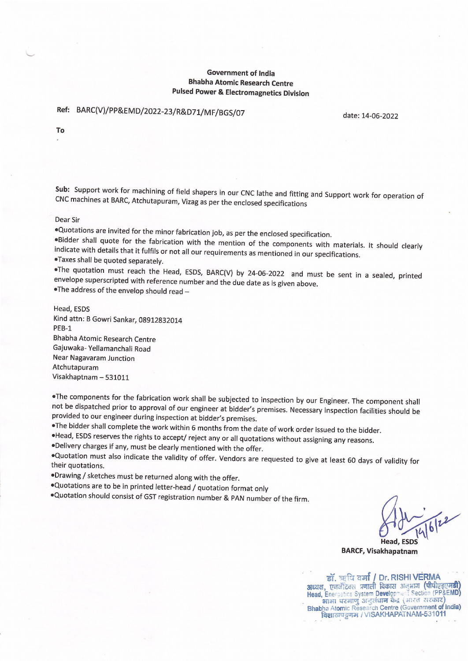# **Government of India Bhabha Atomic Research Centre Pulsed Power & Electromagnetics Division**

# Ref: BARC(V)/PP&EMD/2022-23/R&D71/MF/BGS/07

date: 14-06-2022

To

Sub: Support work for machining of field shapers in our CNC lathe and fitting and Support work for operation of CNC machines at BARC, Atchutapuram, Vizag as per the enclosed specifications

#### Dear Sir

. Quotations are invited for the minor fabrication job, as per the enclosed specification.

.Bidder shall quote for the fabrication with the mention of the components with materials. It should clearly indicate with details that it fulfils or not all our requirements as mentioned in our specifications. .Taxes shall be quoted separately.

.The quotation must reach the Head, ESDS, BARC(V) by 24-06-2022 and must be sent in a sealed, printed envelope superscripted with reference number and the due date as is given above.

. The address of the envelop should read -

Head, ESDS Kind attn: B Gowri Sankar, 08912832014 PEB-1 **Bhabha Atomic Research Centre** Gajuwaka- Yellamanchali Road **Near Nagavaram Junction** Atchutapuram Visakhaptnam - 531011

.The components for the fabrication work shall be subjected to inspection by our Engineer. The component shall not be dispatched prior to approval of our engineer at bidder's premises. Necessary inspection facilities should be provided to our engineer during inspection at bidder's premises.

. The bidder shall complete the work within 6 months from the date of work order issued to the bidder.

. Head, ESDS reserves the rights to accept/ reject any or all quotations without assigning any reasons.

.Delivery charges if any, must be clearly mentioned with the offer.

.Quotation must also indicate the validity of offer. Vendors are requested to give at least 60 days of validity for their quotations.

.Drawing / sketches must be returned along with the offer.

. Quotations are to be in printed letter-head / quotation format only

. Quotation should consist of GST registration number & PAN number of the firm.

**Head, ESDS** 

**BARCF, Visakhapatnam** 

डॉ. ऋषि वर्मा / Dr. RISHI VERMA अध्यक्ष, एकर्जेटिक्स प्रणाली विकास अनुभाग (पीपीएइएमडी) Head, Energetics System Development Section (PP&EMD) Bhabha Atomic Research Centre (Government of India) विशाखपट्टणम / VISAKHAPATNAM-531011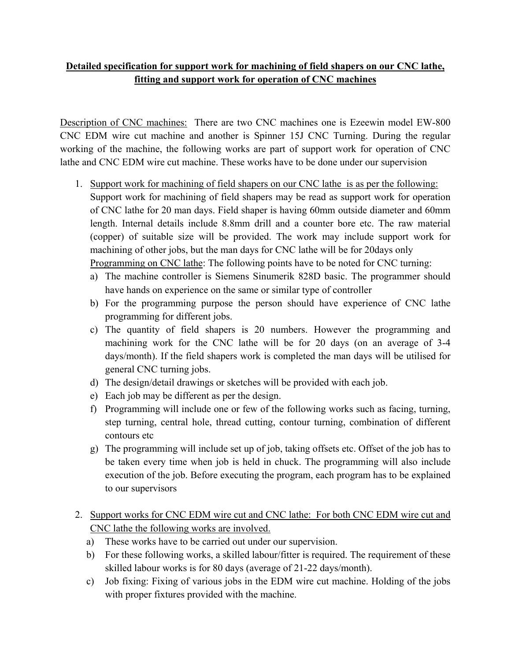# **Detailed specification for support work for machining of field shapers on our CNC lathe, fitting and support work for operation of CNC machines**

Description of CNC machines: There are two CNC machines one is Ezeewin model EW-800 CNC EDM wire cut machine and another is Spinner 15J CNC Turning. During the regular working of the machine, the following works are part of support work for operation of CNC lathe and CNC EDM wire cut machine. These works have to be done under our supervision

- 1. Support work for machining of field shapers on our CNC lathe is as per the following: Support work for machining of field shapers may be read as support work for operation of CNC lathe for 20 man days. Field shaper is having 60mm outside diameter and 60mm length. Internal details include 8.8mm drill and a counter bore etc. The raw material (copper) of suitable size will be provided. The work may include support work for machining of other jobs, but the man days for CNC lathe will be for 20days only Programming on CNC lathe: The following points have to be noted for CNC turning:
	- a) The machine controller is Siemens Sinumerik 828D basic. The programmer should have hands on experience on the same or similar type of controller
	- b) For the programming purpose the person should have experience of CNC lathe programming for different jobs.
	- c) The quantity of field shapers is 20 numbers. However the programming and machining work for the CNC lathe will be for 20 days (on an average of 3-4 days/month). If the field shapers work is completed the man days will be utilised for general CNC turning jobs.
	- d) The design/detail drawings or sketches will be provided with each job.
	- e) Each job may be different as per the design.
	- f) Programming will include one or few of the following works such as facing, turning, step turning, central hole, thread cutting, contour turning, combination of different contours etc
	- g) The programming will include set up of job, taking offsets etc. Offset of the job has to be taken every time when job is held in chuck. The programming will also include execution of the job. Before executing the program, each program has to be explained to our supervisors
- 2. Support works for CNC EDM wire cut and CNC lathe: For both CNC EDM wire cut and CNC lathe the following works are involved.
	- a) These works have to be carried out under our supervision.
	- b) For these following works, a skilled labour/fitter is required. The requirement of these skilled labour works is for 80 days (average of 21-22 days/month).
	- c) Job fixing: Fixing of various jobs in the EDM wire cut machine. Holding of the jobs with proper fixtures provided with the machine.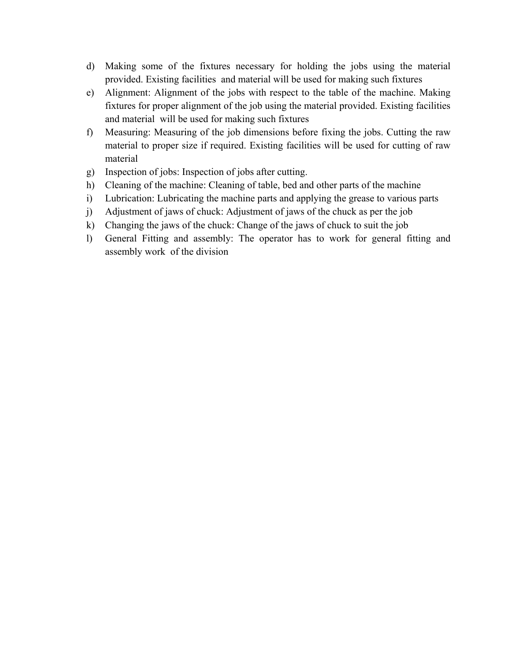- d) Making some of the fixtures necessary for holding the jobs using the material provided. Existing facilities and material will be used for making such fixtures
- e) Alignment: Alignment of the jobs with respect to the table of the machine. Making fixtures for proper alignment of the job using the material provided. Existing facilities and material will be used for making such fixtures
- f) Measuring: Measuring of the job dimensions before fixing the jobs. Cutting the raw material to proper size if required. Existing facilities will be used for cutting of raw material
- g) Inspection of jobs: Inspection of jobs after cutting.
- h) Cleaning of the machine: Cleaning of table, bed and other parts of the machine
- i) Lubrication: Lubricating the machine parts and applying the grease to various parts
- j) Adjustment of jaws of chuck: Adjustment of jaws of the chuck as per the job
- k) Changing the jaws of the chuck: Change of the jaws of chuck to suit the job
- l) General Fitting and assembly: The operator has to work for general fitting and assembly work of the division